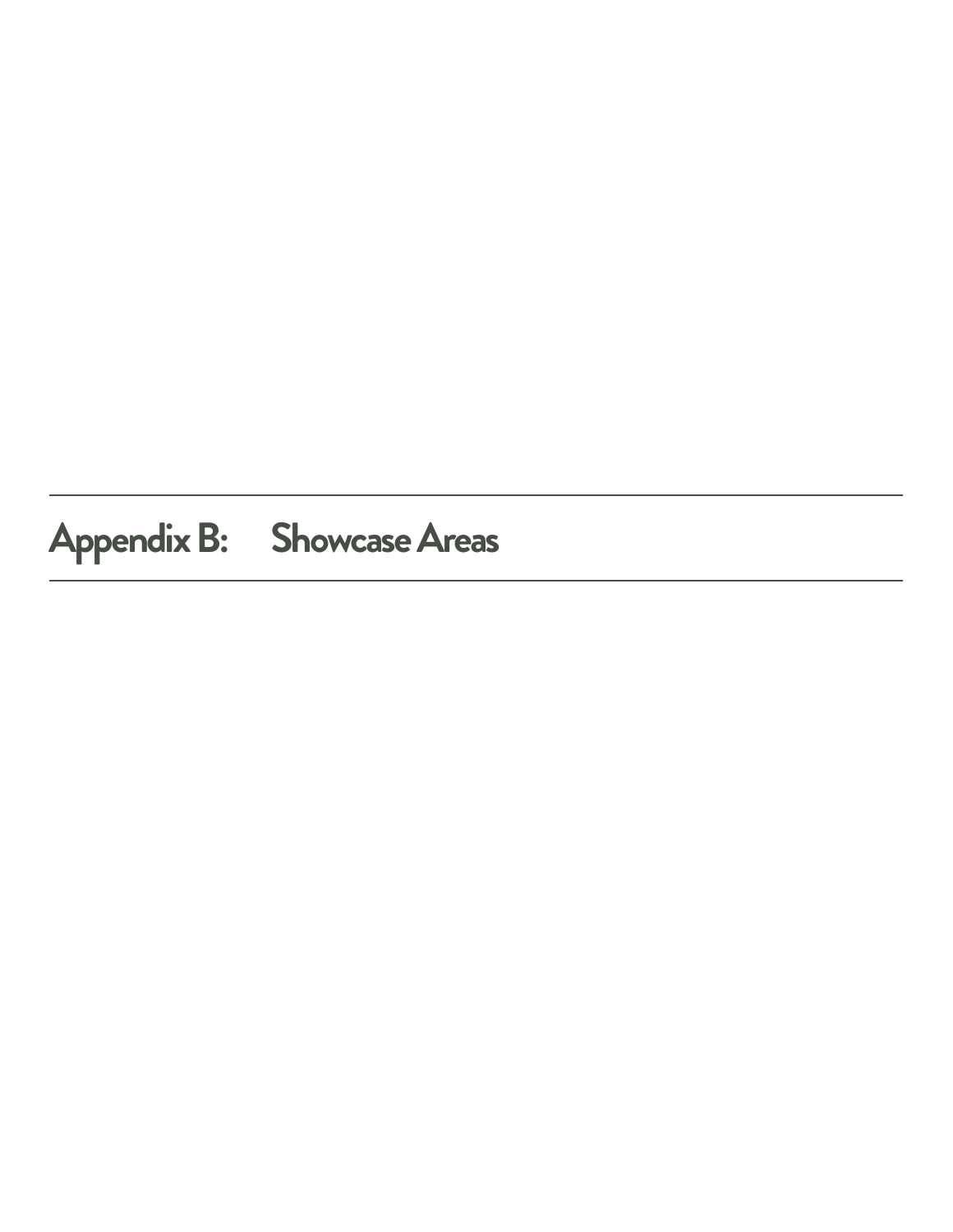## **Appendix B: Showcase Areas**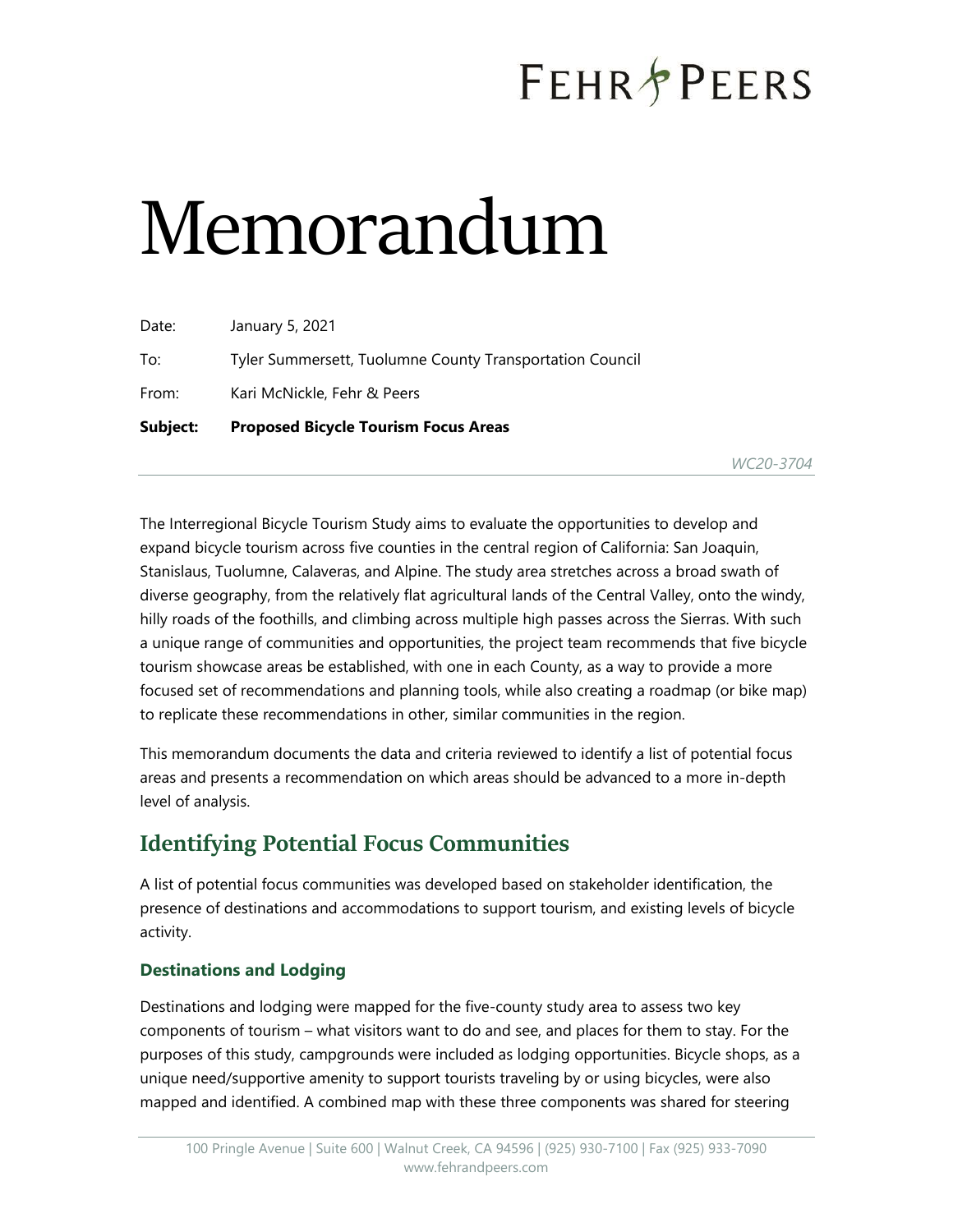# **FEHR PEERS**

# Memorandum

| Subject: | <b>Proposed Bicycle Tourism Focus Areas</b>              |
|----------|----------------------------------------------------------|
| From:    | Kari McNickle, Fehr & Peers                              |
| To:      | Tyler Summersett, Tuolumne County Transportation Council |
| Date:    | January 5, 2021                                          |

*WC20-3704*

The Interregional Bicycle Tourism Study aims to evaluate the opportunities to develop and expand bicycle tourism across five counties in the central region of California: San Joaquin, Stanislaus, Tuolumne, Calaveras, and Alpine. The study area stretches across a broad swath of diverse geography, from the relatively flat agricultural lands of the Central Valley, onto the windy, hilly roads of the foothills, and climbing across multiple high passes across the Sierras. With such a unique range of communities and opportunities, the project team recommends that five bicycle tourism showcase areas be established, with one in each County, as a way to provide a more focused set of recommendations and planning tools, while also creating a roadmap (or bike map) to replicate these recommendations in other, similar communities in the region.

This memorandum documents the data and criteria reviewed to identify a list of potential focus areas and presents a recommendation on which areas should be advanced to a more in-depth level of analysis.

## **Identifying Potential Focus Communities**

A list of potential focus communities was developed based on stakeholder identification, the presence of destinations and accommodations to support tourism, and existing levels of bicycle activity.

#### **Destinations and Lodging**

Destinations and lodging were mapped for the five-county study area to assess two key components of tourism – what visitors want to do and see, and places for them to stay. For the purposes of this study, campgrounds were included as lodging opportunities. Bicycle shops, as a unique need/supportive amenity to support tourists traveling by or using bicycles, were also mapped and identified. A combined map with these three components was shared for steering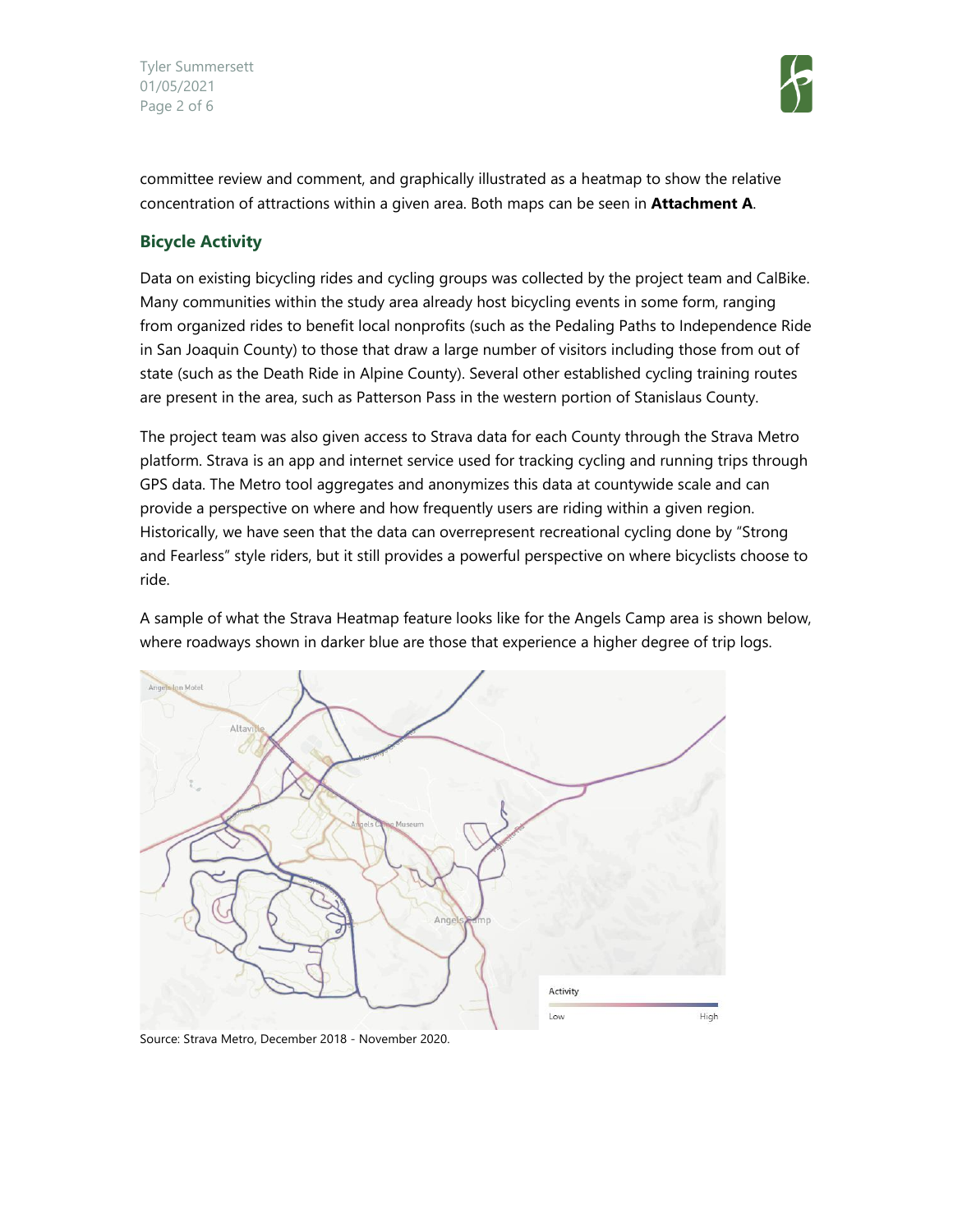Tyler Summersett 01/05/2021 Page 2 of 6



committee review and comment, and graphically illustrated as a heatmap to show the relative concentration of attractions within a given area. Both maps can be seen in **Attachment A**.

#### **Bicycle Activity**

Data on existing bicycling rides and cycling groups was collected by the project team and CalBike. Many communities within the study area already host bicycling events in some form, ranging from organized rides to benefit local nonprofits (such as the Pedaling Paths to Independence Ride in San Joaquin County) to those that draw a large number of visitors including those from out of state (such as the Death Ride in Alpine County). Several other established cycling training routes are present in the area, such as Patterson Pass in the western portion of Stanislaus County.

The project team was also given access to Strava data for each County through the Strava Metro platform. Strava is an app and internet service used for tracking cycling and running trips through GPS data. The Metro tool aggregates and anonymizes this data at countywide scale and can provide a perspective on where and how frequently users are riding within a given region. Historically, we have seen that the data can overrepresent recreational cycling done by "Strong and Fearless" style riders, but it still provides a powerful perspective on where bicyclists choose to ride.

A sample of what the Strava Heatmap feature looks like for the Angels Camp area is shown below, where roadways shown in darker blue are those that experience a higher degree of trip logs.



Source: Strava Metro, December 2018 - November 2020.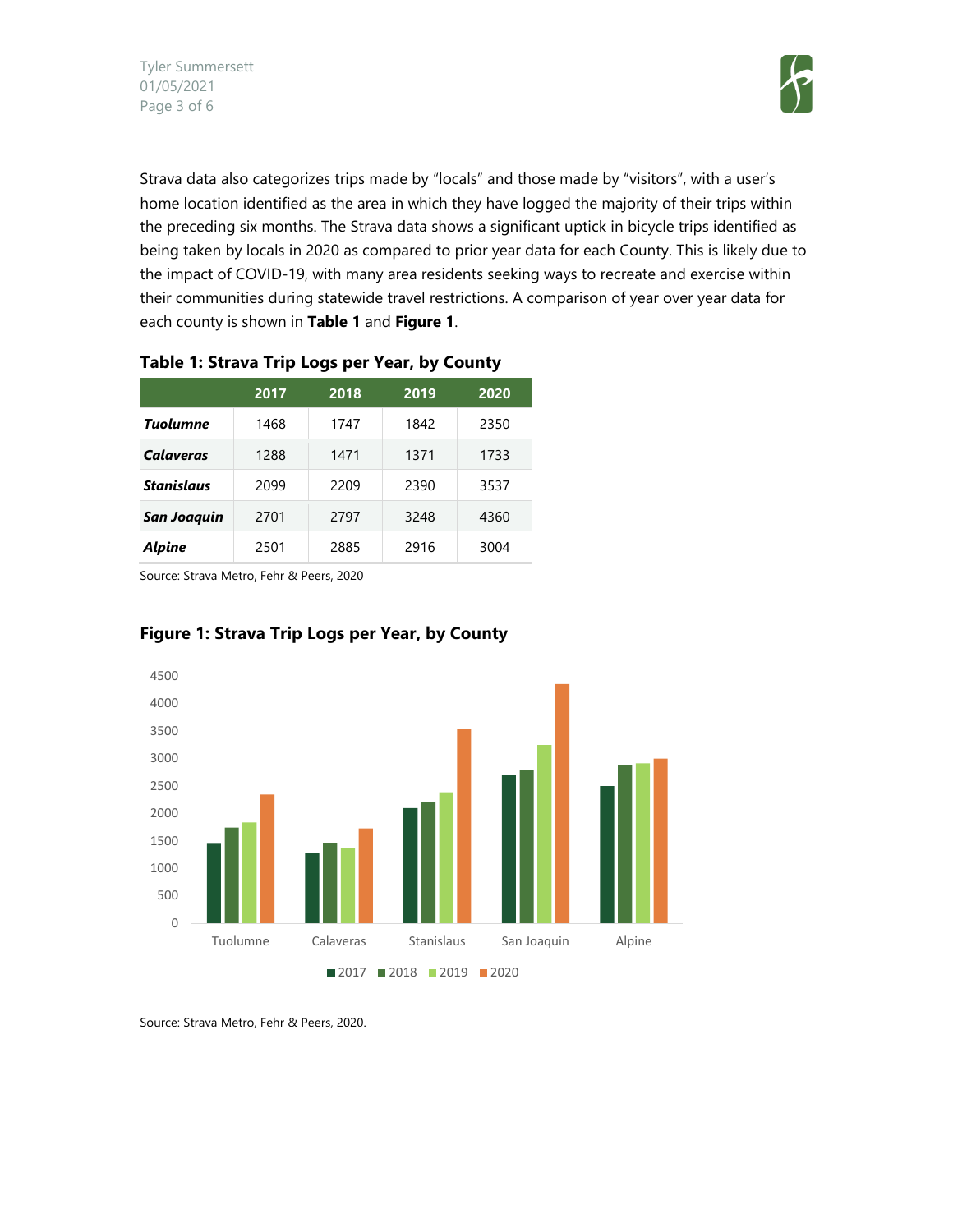

Strava data also categorizes trips made by "locals" and those made by "visitors", with a user's home location identified as the area in which they have logged the majority of their trips within the preceding six months. The Strava data shows a significant uptick in bicycle trips identified as being taken by locals in 2020 as compared to prior year data for each County. This is likely due to the impact of COVID-19, with many area residents seeking ways to recreate and exercise within their communities during statewide travel restrictions. A comparison of year over year data for each county is shown in **Table 1** and **Figure 1**.

|                    | 2017 | 2018 | 2019 | 2020 |
|--------------------|------|------|------|------|
| <b>Tuolumne</b>    | 1468 | 1747 | 1842 | 2350 |
| <b>Calaveras</b>   | 1288 | 1471 | 1371 | 1733 |
| <b>Stanislaus</b>  | 2099 | 2209 | 2390 | 3537 |
| <b>San Joaquin</b> | 2701 | 2797 | 3248 | 4360 |
| <b>Alpine</b>      | 2501 | 2885 | 2916 | 3004 |

#### **Table 1: Strava Trip Logs per Year, by County**

Source: Strava Metro, Fehr & Peers, 2020



#### **Figure 1: Strava Trip Logs per Year, by County**

Source: Strava Metro, Fehr & Peers, 2020.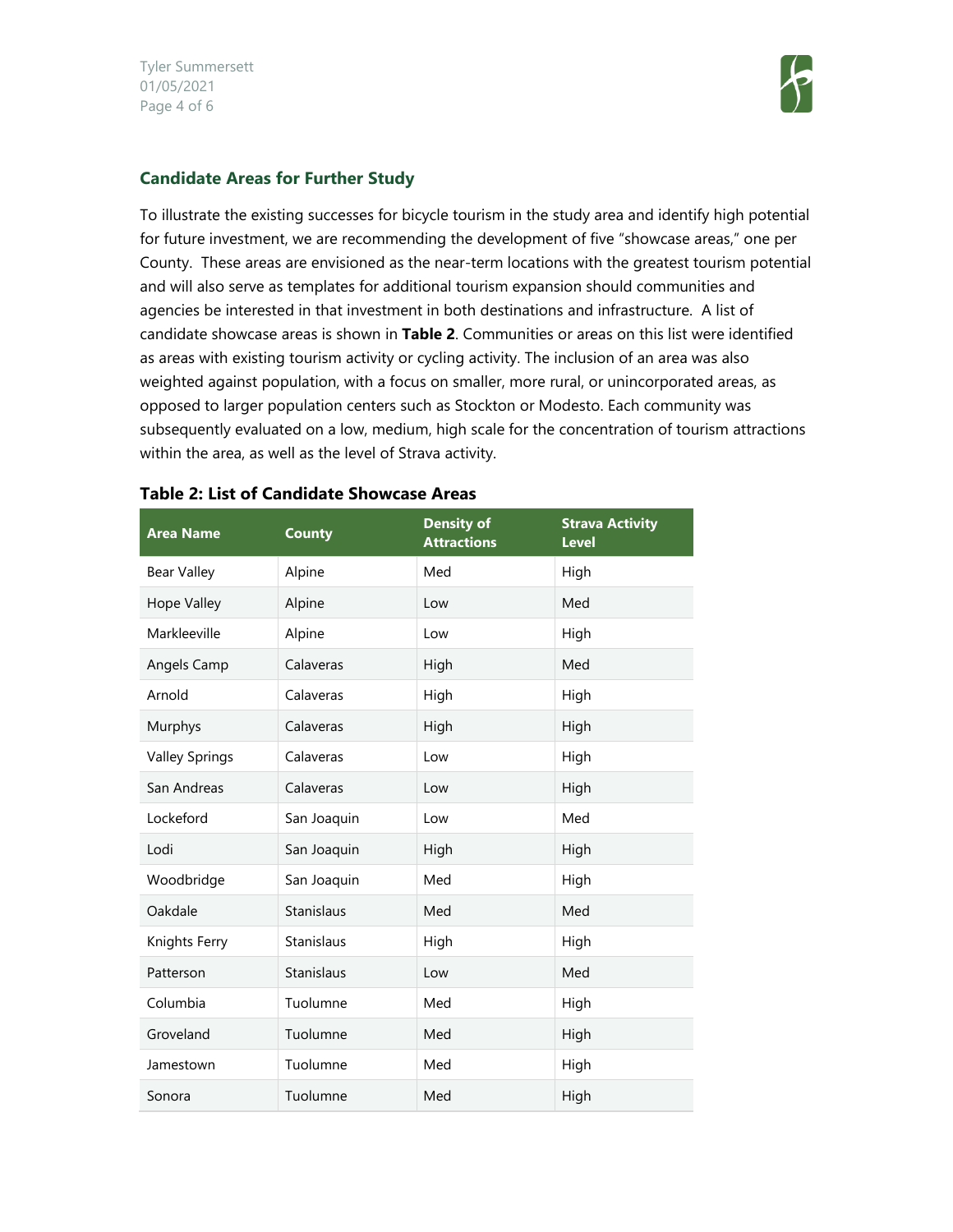Tyler Summersett 01/05/2021 Page 4 of 6



#### **Candidate Areas for Further Study**

To illustrate the existing successes for bicycle tourism in the study area and identify high potential for future investment, we are recommending the development of five "showcase areas," one per County. These areas are envisioned as the near-term locations with the greatest tourism potential and will also serve as templates for additional tourism expansion should communities and agencies be interested in that investment in both destinations and infrastructure. A list of candidate showcase areas is shown in **Table 2**. Communities or areas on this list were identified as areas with existing tourism activity or cycling activity. The inclusion of an area was also weighted against population, with a focus on smaller, more rural, or unincorporated areas, as opposed to larger population centers such as Stockton or Modesto. Each community was subsequently evaluated on a low, medium, high scale for the concentration of tourism attractions within the area, as well as the level of Strava activity.

| <b>Area Name</b>      | <b>County</b>     | <b>Density of</b><br><b>Attractions</b> | <b>Strava Activity</b><br><b>Level</b> |
|-----------------------|-------------------|-----------------------------------------|----------------------------------------|
| <b>Bear Valley</b>    | Alpine            | Med                                     | High                                   |
| <b>Hope Valley</b>    | Alpine            | Low                                     | Med                                    |
| Markleeville          | Alpine            | Low                                     | High                                   |
| Angels Camp           | Calaveras         | High                                    | Med                                    |
| Arnold                | Calaveras         | High                                    | High                                   |
| Murphys               | Calaveras         | High                                    | High                                   |
| <b>Valley Springs</b> | Calaveras         | Low                                     | High                                   |
| San Andreas           | Calaveras         | Low                                     | High                                   |
| Lockeford             | San Joaquin       | Low                                     | Med                                    |
| Lodi                  | San Joaquin       | High                                    | High                                   |
| Woodbridge            | San Joaquin       | Med                                     | High                                   |
| Oakdale               | Stanislaus        | Med                                     | Med                                    |
| Knights Ferry         | Stanislaus        | High                                    | High                                   |
| Patterson             | <b>Stanislaus</b> | Low                                     | Med                                    |
| Columbia              | Tuolumne          | Med                                     | High                                   |
| Groveland             | Tuolumne          | Med                                     | High                                   |
| Jamestown             | Tuolumne          | Med                                     | High                                   |
| Sonora                | Tuolumne          | Med                                     | High                                   |

#### **Table 2: List of Candidate Showcase Areas**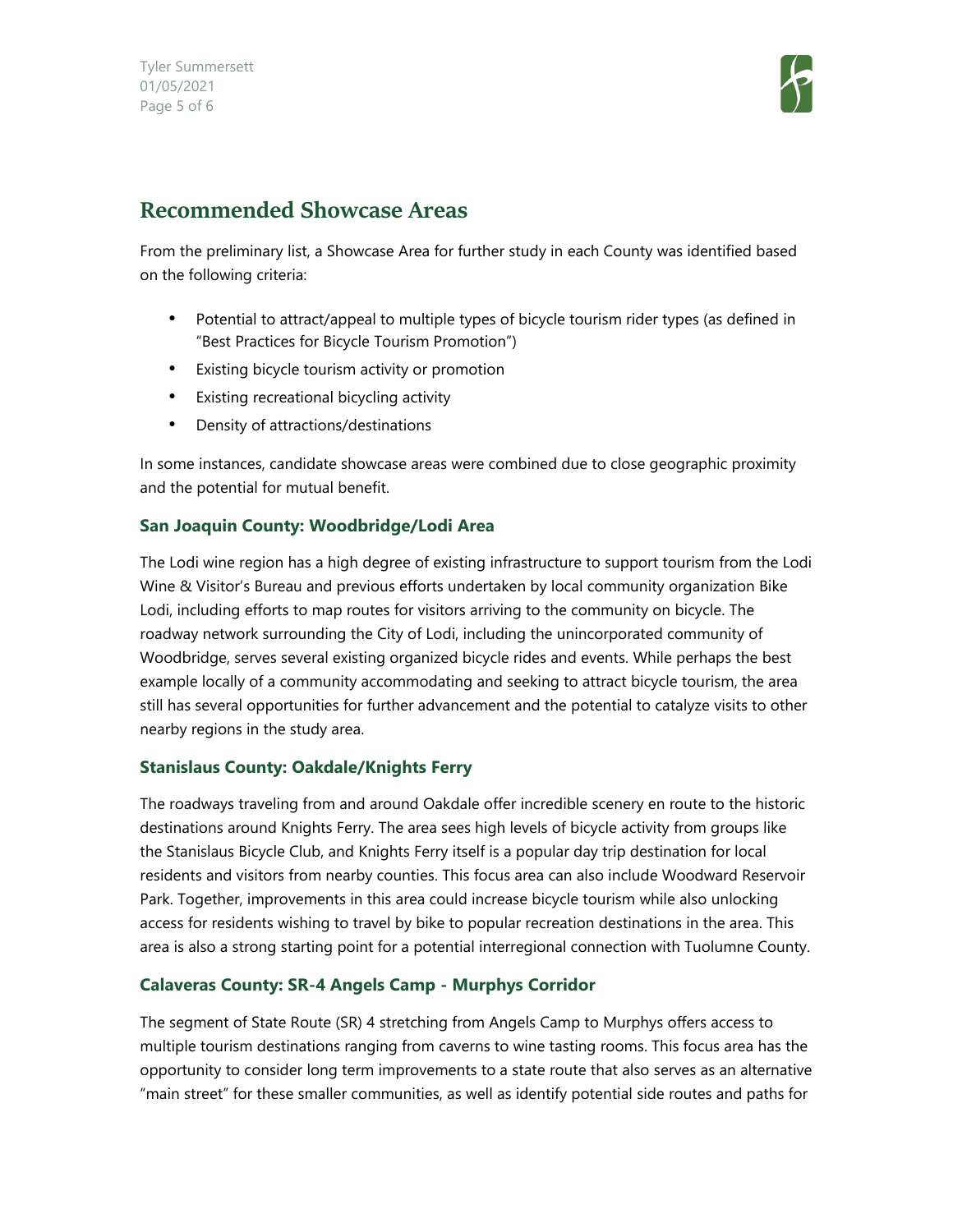Tyler Summersett 01/05/2021 Page 5 of 6



### **Recommended Showcase Areas**

From the preliminary list, a Showcase Area for further study in each County was identified based on the following criteria:

- Potential to attract/appeal to multiple types of bicycle tourism rider types (as defined in "Best Practices for Bicycle Tourism Promotion")
- Existing bicycle tourism activity or promotion
- Existing recreational bicycling activity
- Density of attractions/destinations

In some instances, candidate showcase areas were combined due to close geographic proximity and the potential for mutual benefit.

#### **San Joaquin County: Woodbridge/Lodi Area**

The Lodi wine region has a high degree of existing infrastructure to support tourism from the Lodi Wine & Visitor's Bureau and previous efforts undertaken by local community organization Bike Lodi, including efforts to map routes for visitors arriving to the community on bicycle. The roadway network surrounding the City of Lodi, including the unincorporated community of Woodbridge, serves several existing organized bicycle rides and events. While perhaps the best example locally of a community accommodating and seeking to attract bicycle tourism, the area still has several opportunities for further advancement and the potential to catalyze visits to other nearby regions in the study area.

#### **Stanislaus County: Oakdale/Knights Ferry**

The roadways traveling from and around Oakdale offer incredible scenery en route to the historic destinations around Knights Ferry. The area sees high levels of bicycle activity from groups like the Stanislaus Bicycle Club, and Knights Ferry itself is a popular day trip destination for local residents and visitors from nearby counties. This focus area can also include Woodward Reservoir Park. Together, improvements in this area could increase bicycle tourism while also unlocking access for residents wishing to travel by bike to popular recreation destinations in the area. This area is also a strong starting point for a potential interregional connection with Tuolumne County.

#### **Calaveras County: SR-4 Angels Camp - Murphys Corridor**

The segment of State Route (SR) 4 stretching from Angels Camp to Murphys offers access to multiple tourism destinations ranging from caverns to wine tasting rooms. This focus area has the opportunity to consider long term improvements to a state route that also serves as an alternative "main street" for these smaller communities, as well as identify potential side routes and paths for